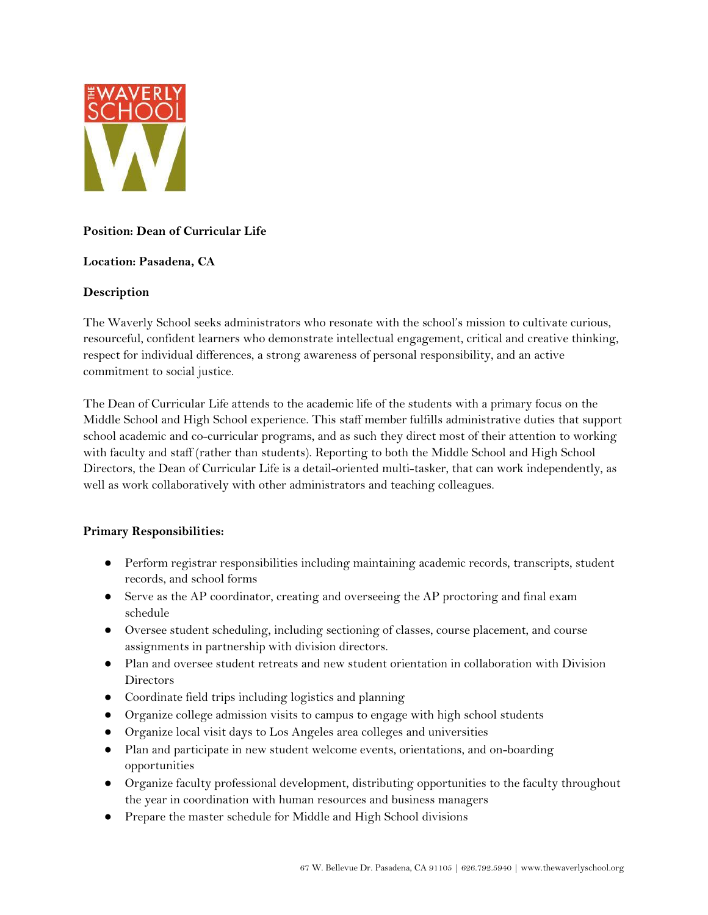

# **Position: Dean of Curricular Life**

#### **Location: Pasadena, CA**

#### **Description**

The Waverly School seeks administrators who resonate with the school's mission to cultivate curious, resourceful, confident learners who demonstrate intellectual engagement, critical and creative thinking, respect for individual differences, a strong awareness of personal responsibility, and an active commitment to social justice.

The Dean of Curricular Life attends to the academic life of the students with a primary focus on the Middle School and High School experience. This staff member fulfills administrative duties that support school academic and co-curricular programs, and as such they direct most of their attention to working with faculty and staff (rather than students). Reporting to both the Middle School and High School Directors, the Dean of Curricular Life is a detail-oriented multi-tasker, that can work independently, as well as work collaboratively with other administrators and teaching colleagues.

#### **Primary Responsibilities:**

- Perform registrar responsibilities including maintaining academic records, transcripts, student records, and school forms
- Serve as the AP coordinator, creating and overseeing the AP proctoring and final exam schedule
- Oversee student scheduling, including sectioning of classes, course placement, and course assignments in partnership with division directors.
- Plan and oversee student retreats and new student orientation in collaboration with Division **Directors**
- Coordinate field trips including logistics and planning
- Organize college admission visits to campus to engage with high school students
- Organize local visit days to Los Angeles area colleges and universities
- Plan and participate in new student welcome events, orientations, and on-boarding opportunities
- Organize faculty professional development, distributing opportunities to the faculty throughout the year in coordination with human resources and business managers
- Prepare the master schedule for Middle and High School divisions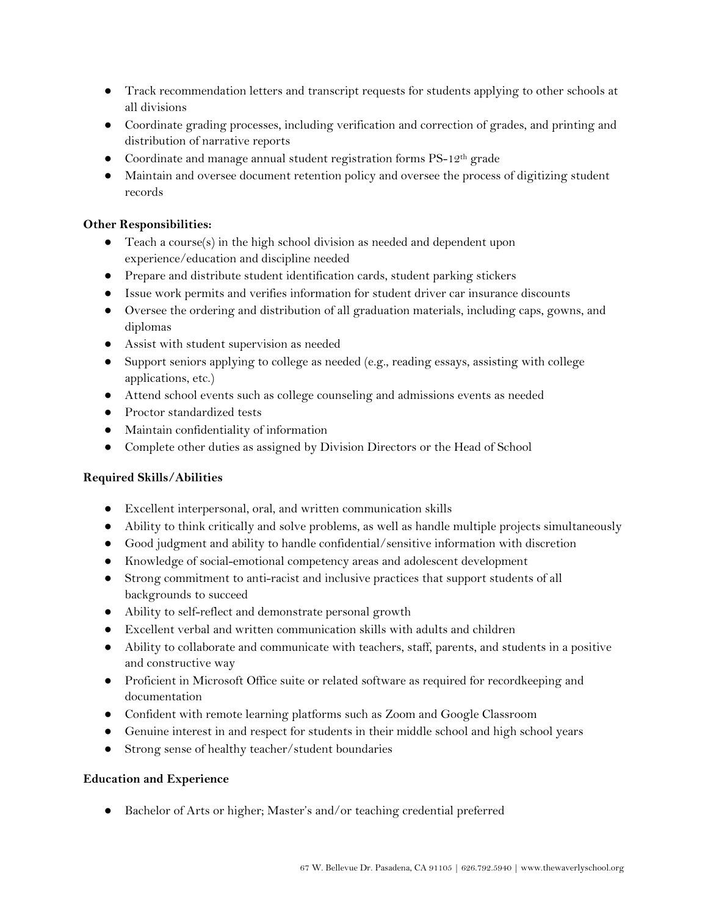- Track recommendation letters and transcript requests for students applying to other schools at all divisions
- Coordinate grading processes, including verification and correction of grades, and printing and distribution of narrative reports
- Coordinate and manage annual student registration forms PS-12<sup>th</sup> grade
- Maintain and oversee document retention policy and oversee the process of digitizing student records

## **Other Responsibilities:**

- Teach a course(s) in the high school division as needed and dependent upon experience/education and discipline needed
- Prepare and distribute student identification cards, student parking stickers
- Issue work permits and verifies information for student driver car insurance discounts
- Oversee the ordering and distribution of all graduation materials, including caps, gowns, and diplomas
- Assist with student supervision as needed
- Support seniors applying to college as needed (e.g., reading essays, assisting with college applications, etc.)
- Attend school events such as college counseling and admissions events as needed
- Proctor standardized tests
- Maintain confidentiality of information
- Complete other duties as assigned by Division Directors or the Head of School

#### **Required Skills/Abilities**

- Excellent interpersonal, oral, and written communication skills
- Ability to think critically and solve problems, as well as handle multiple projects simultaneously
- Good judgment and ability to handle confidential/sensitive information with discretion
- Knowledge of social-emotional competency areas and adolescent development
- Strong commitment to anti-racist and inclusive practices that support students of all backgrounds to succeed
- Ability to self-reflect and demonstrate personal growth
- Excellent verbal and written communication skills with adults and children
- Ability to collaborate and communicate with teachers, staff, parents, and students in a positive and constructive way
- Proficient in Microsoft Office suite or related software as required for recordkeeping and documentation
- Confident with remote learning platforms such as Zoom and Google Classroom
- Genuine interest in and respect for students in their middle school and high school years
- Strong sense of healthy teacher/student boundaries

#### **Education and Experience**

● Bachelor of Arts or higher; Master's and/or teaching credential preferred